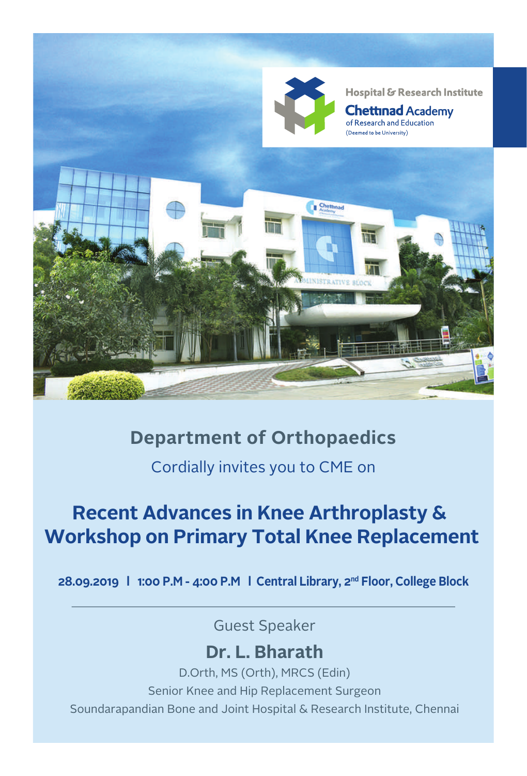

# **Department of Orthopaedics**

Cordially invites you to CME on

# **Recent Advances in Knee Arthroplasty & Workshop on Primary Total Knee Replacement**

**28.09.2019 l 1:00 P.M - 4:00 P.M l Central Library, 2nd Floor, College Block**

Guest Speaker

## **Dr. L. Bharath**

D.Orth, MS (Orth), MRCS (Edin) Senior Knee and Hip Replacement Surgeon Soundarapandian Bone and Joint Hospital & Research Institute, Chennai